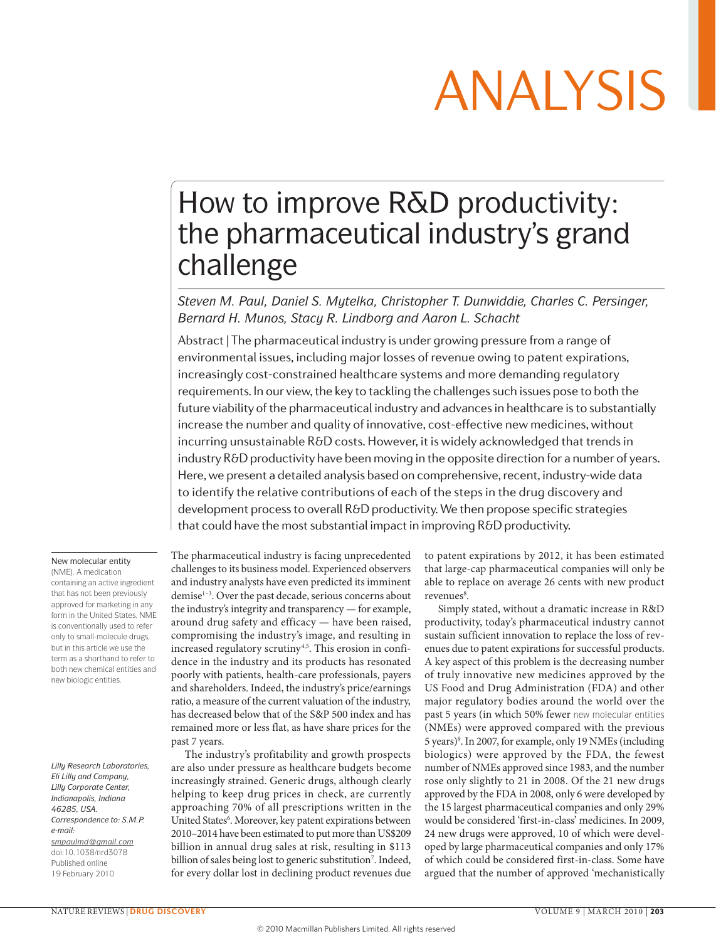# AnAlysIs

## How to improve R&D productivity: the pharmaceutical industry's grand challenge

*Steven M. Paul, Daniel S. Mytelka, Christopher T. Dunwiddie, Charles C. Persinger, Bernard H. Munos, Stacy R. Lindborg and Aaron L. Schacht*

Abstract | The pharmaceutical industry is under growing pressure from a range of environmental issues, including major losses of revenue owing to patent expirations, increasingly cost-constrained healthcare systems and more demanding regulatory requirements. In our view, the key to tackling the challenges such issues pose to both the future viability of the pharmaceutical industry and advances in healthcare is to substantially increase the number and quality of innovative, cost-effective new medicines, without incurring unsustainable R&D costs. However, it is widely acknowledged that trends in industry R&D productivity have been moving in the opposite direction for a number of years. Here, we present a detailed analysis based on comprehensive, recent, industry-wide data to identify the relative contributions of each of the steps in the drug discovery and development process to overall R&D productivity. We then propose specific strategies that could have the most substantial impact in improving R&D productivity.

## New molecular entity

(NME). A medication containing an active ingredient that has not been previously approved for marketing in any form in the United States. NME is conventionally used to refer only to small-molecule drugs, but in this article we use the term as a shorthand to refer to both new chemical entities and new biologic entities.

*Lilly Research Laboratories, Eli Lilly and Company, Lilly Corporate Center, Indianapolis, Indiana 46285, USA. Correspondence to: S.M.P. e-mail: [smpaulmd@gmail.com](mailto:smpaulmd@gmail.com)* doi:10.1038/nrd3078 Published online 19 February 2010

The pharmaceutical industry is facing unprecedented challenges to its business model. Experienced observers and industry analysts have even predicted its imminent demise<sup>1-3</sup>. Over the past decade, serious concerns about the industry's integrity and transparency — for example, around drug safety and efficacy — have been raised, compromising the industry's image, and resulting in increased regulatory scrutiny<sup>4,5</sup>. This erosion in confidence in the industry and its products has resonated poorly with patients, health-care professionals, payers and shareholders. Indeed, the industry's price/earnings ratio, a measure of the current valuation of the industry, has decreased below that of the S&P 500 index and has remained more or less flat, as have share prices for the past 7 years.

The industry's profitability and growth prospects are also under pressure as healthcare budgets become increasingly strained. Generic drugs, although clearly helping to keep drug prices in check, are currently approaching 70% of all prescriptions written in the United States<sup>6</sup>. Moreover, key patent expirations between 2010–2014 have been estimated to put more than US\$209 billion in annual drug sales at risk, resulting in \$113 billion of sales being lost to generic substitution<sup>7</sup>. Indeed, for every dollar lost in declining product revenues due to patent expirations by 2012, it has been estimated that large-cap pharmaceutical companies will only be able to replace on average 26 cents with new product revenues<sup>8</sup>.

Simply stated, without a dramatic increase in R&D productivity, today's pharmaceutical industry cannot sustain sufficient innovation to replace the loss of revenues due to patent expirations for successful products. A key aspect of this problem is the decreasing number of truly innovative new medicines approved by the US Food and Drug Administration (FDA) and other major regulatory bodies around the world over the past 5 years (in which 50% fewer new molecular entities (NMEs) were approved compared with the previous 5 years)9 . In 2007, for example, only 19 NMEs (including biologics) were approved by the FDA, the fewest number of NMEs approved since 1983, and the number rose only slightly to 21 in 2008. Of the 21 new drugs approved by the FDA in 2008, only 6 were developed by the 15 largest pharmaceutical companies and only 29% would be considered 'first-in-class' medicines. In 2009, 24 new drugs were approved, 10 of which were developed by large pharmaceutical companies and only 17% of which could be considered first-in-class. Some have argued that the number of approved 'mechanistically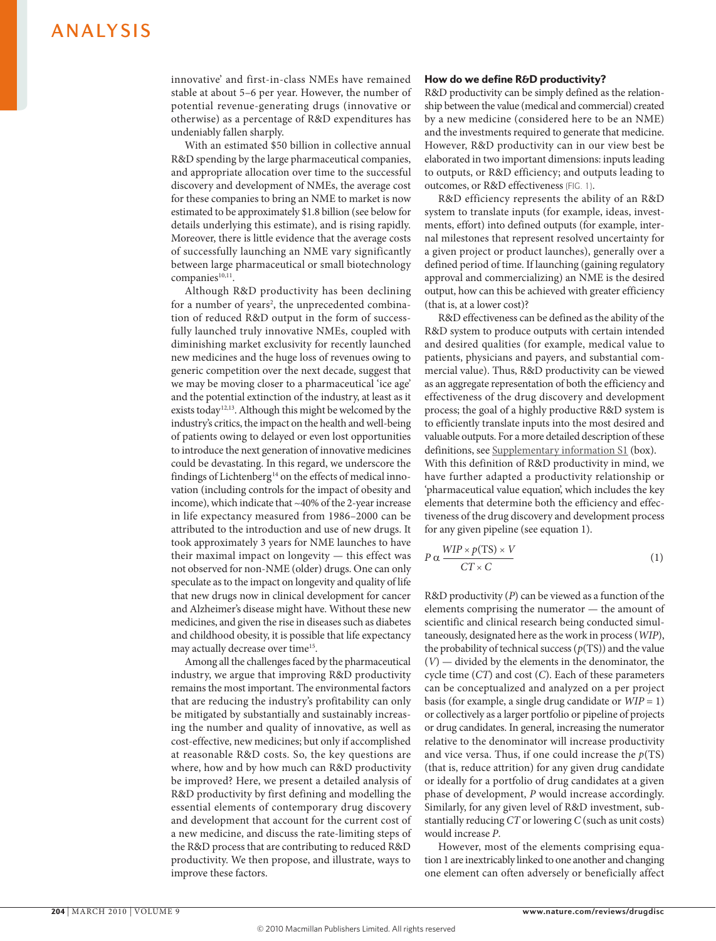innovative' and first-in-class NMEs have remained stable at about 5–6 per year. However, the number of potential revenue-generating drugs (innovative or otherwise) as a percentage of R&D expenditures has undeniably fallen sharply.

with an estimated \$50 billion in collective annual R&D spending by the large pharmaceutical companies, and appropriate allocation over time to the successful discovery and development of NMEs, the average cost for these companies to bring an NME to market is now estimated to be approximately \$1.8 billion (see below for details underlying this estimate), and is rising rapidly. Moreover, there is little evidence that the average costs of successfully launching an NME vary significantly between large pharmaceutical or small biotechnology companies<sup>10,11</sup>.

Although R&D productivity has been declining for a number of years<sup>2</sup>, the unprecedented combination of reduced R&D output in the form of successfully launched truly innovative NMEs, coupled with diminishing market exclusivity for recently launched new medicines and the huge loss of revenues owing to generic competition over the next decade, suggest that we may be moving closer to a pharmaceutical 'ice age' and the potential extinction of the industry, at least as it exists today<sup>12,13</sup>. Although this might be welcomed by the industry's critics, the impact on the health and well-being of patients owing to delayed or even lost opportunities to introduce the next generation of innovative medicines could be devastating. In this regard, we underscore the findings of Lichtenberg<sup>14</sup> on the effects of medical innovation (including controls for the impact of obesity and income), which indicate that ~40% of the 2-year increase in life expectancy measured from 1986–2000 can be attributed to the introduction and use of new drugs. It took approximately 3 years for NME launches to have their maximal impact on longevity — this effect was not observed for non-NME (older) drugs. One can only speculate as to the impact on longevity and quality of life that new drugs now in clinical development for cancer and Alzheimer's disease might have. without these new medicines, and given the rise in diseases such as diabetes and childhood obesity, it is possible that life expectancy may actually decrease over time<sup>15</sup>.

Among all the challenges faced by the pharmaceutical industry, we argue that improving R&D productivity remains the most important. The environmental factors that are reducing the industry's profitability can only be mitigated by substantially and sustainably increasing the number and quality of innovative, as well as cost-effective, new medicines; but only if accomplished at reasonable R&D costs. So, the key questions are where, how and by how much can R&D productivity be improved? here, we present a detailed analysis of R&D productivity by first defining and modelling the essential elements of contemporary drug discovery and development that account for the current cost of a new medicine, and discuss the rate-limiting steps of the R&D process that are contributing to reduced R&D productivity. we then propose, and illustrate, ways to improve these factors.

## How do we define R&D productivity?

R&D productivity can be simply defined as the relationship between the value (medical and commercial) created by a new medicine (considered here to be an NME) and the investments required to generate that medicine. however, R&D productivity can in our view best be elaborated in two important dimensions: inputs leading to outputs, or R&D efficiency; and outputs leading to outcomes, or R&D effectiveness (FIG. 1).

R&D efficiency represents the ability of an R&D system to translate inputs (for example, ideas, investments, effort) into defined outputs (for example, internal milestones that represent resolved uncertainty for a given project or product launches), generally over a defined period of time. If launching (gaining regulatory approval and commercializing) an NME is the desired output, how can this be achieved with greater efficiency (that is, at a lower cost)?

R&D effectiveness can be defined as the ability of the R&D system to produce outputs with certain intended and desired qualities (for example, medical value to patients, physicians and payers, and substantial commercial value). Thus, R&D productivity can be viewed as an aggregate representation of both the efficiency and effectiveness of the drug discovery and development process; the goal of a highly productive R&D system is to efficiently translate inputs into the most desired and valuable outputs. For a more detailed description of these definitions, see [Supplementary information](http://www.nature.com/nrd/journal/v9/n3/suppinfo/nrd3078.html) S1 (box). with this definition of R&D productivity in mind, we have further adapted a productivity relationship or 'pharmaceutical value equation', which includes the key elements that determine both the efficiency and effectiveness of the drug discovery and development process for any given pipeline (see equation 1).

$$
P \alpha \frac{WIP \times p(TS) \times V}{CT \times C}
$$
 (1)

R&D productivity (*P*) can be viewed as a function of the elements comprising the numerator — the amount of scientific and clinical research being conducted simultaneously, designated here as the work in process (*WIP*), the probability of technical success (*p*(TS)) and the value (*V*) — divided by the elements in the denominator, the cycle time (*CT*) and cost (*C*). Each of these parameters can be conceptualized and analyzed on a per project basis (for example, a single drug candidate or *WIP* = 1) or collectively as a larger portfolio or pipeline of projects or drug candidates. In general, increasing the numerator relative to the denominator will increase productivity and vice versa. Thus, if one could increase the *p*(TS) (that is, reduce attrition) for any given drug candidate or ideally for a portfolio of drug candidates at a given phase of development, *P* would increase accordingly. Similarly, for any given level of R&D investment, substantially reducing *CT* or lowering *C* (such as unit costs) would increase *P*.

however, most of the elements comprising equation 1 are inextricably linked to one another and changing one element can often adversely or beneficially affect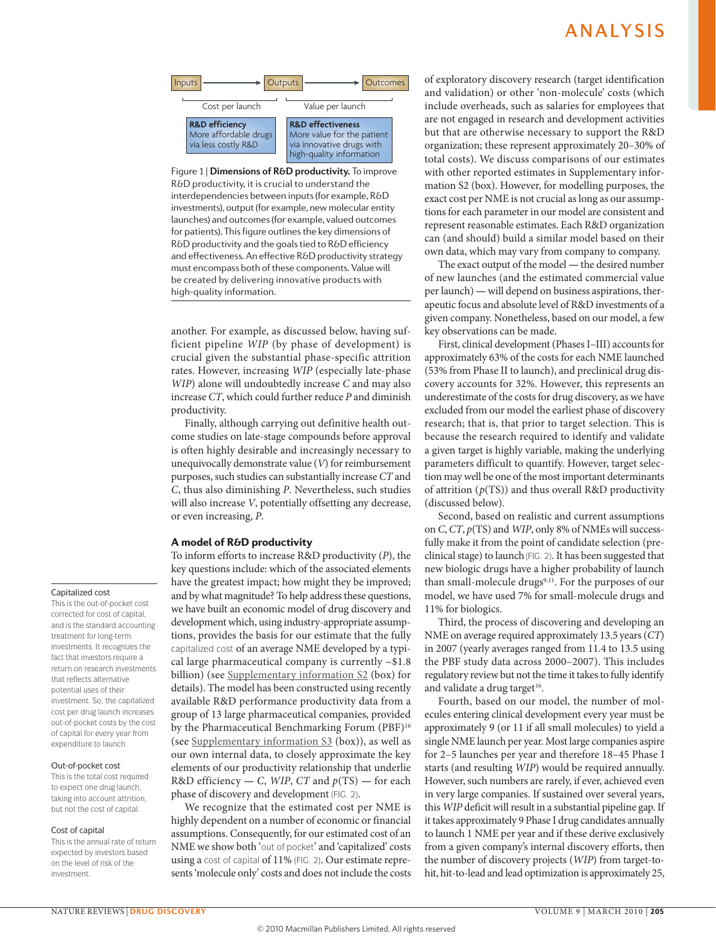

**Nature Reviews** | **Drug Discovery** interdependencies between inputs (for example, R&D Figure 1 | Dimensions of R&D productivity. To improve R&D productivity, it is crucial to understand the investments), output (for example, new molecular entity launches) and outcomes (for example, valued outcomes for patients). This figure outlines the key dimensions of R&D productivity and the goals tied to R&D efficiency and effectiveness. An effective R&D productivity strategy must encompass both of these components. Value will be created by delivering innovative products with high-quality information.

another. For example, as discussed below, having sufficient pipeline *WIP* (by phase of development) is crucial given the substantial phase-specific attrition rates. however, increasing *WIP* (especially late-phase *WIP*) alone will undoubtedly increase *C* and may also increase *CT*, which could further reduce *P* and diminish productivity.

Finally, although carrying out definitive health outcome studies on late-stage compounds before approval is often highly desirable and increasingly necessary to unequivocally demonstrate value (*V*) for reimbursement purposes, such studies can substantially increase *CT* and *C*, thus also diminishing *P*. Nevertheless, such studies will also increase *V*, potentially offsetting any decrease, or even increasing, *P*.

## A model of R&D productivity

To inform efforts to increase R&D productivity (*P*), the key questions include: which of the associated elements have the greatest impact; how might they be improved; and by what magnitude? To help address these questions, we have built an economic model of drug discovery and development which, using industry-appropriate assumptions, provides the basis for our estimate that the fully capitalized cost of an average NME developed by a typical large pharmaceutical company is currently ~\$1.8 billion) (see [Supplementary information](http://www.nature.com/nrd/journal/v9/n3/suppinfo/nrd3078.html) S2 (box) for details). The model has been constructed using recently available R&D performance productivity data from a group of 13 large pharmaceutical companies, provided by the Pharmaceutical Benchmarking Forum (PBF)<sup>16</sup> (see [Supplementary information S3](http://www.nature.com/nrd/journal/v9/n3/suppinfo/nrd3078.html) (box)), as well as our own internal data, to closely approximate the key elements of our productivity relationship that underlie R&D efficiency **—** *C*, *WIP*, *CT* and *p*(TS) **—** for each phase of discovery and development (FIG. 2).

we recognize that the estimated cost per NME is highly dependent on a number of economic or financial assumptions. consequently, for our estimated cost of an NME we show both 'out of pocket' and 'capitalized' costs using a cost of capital of 11% (FIG. 2). Our estimate represents 'molecule only' costs and does not include the costs of exploratory discovery research (target identification and validation) or other 'non-molecule' costs (which include overheads, such as salaries for employees that are not engaged in research and development activities but that are otherwise necessary to support the R&D organization; these represent approximately 20–30% of total costs). we discuss comparisons of our estimates with other reported estimates in Supplementary information S2 (box). However, for modelling purposes, the exact cost per NME is not crucial as long as our assumptions for each parameter in our model are consistent and represent reasonable estimates. Each R&D organization can (and should) build a similar model based on their own data, which may vary from company to company.

The exact output of the model **—** the desired number of new launches (and the estimated commercial value per launch) **—** will depend on business aspirations, therapeutic focus and absolute level of R&D investments of a given company. Nonetheless, based on our model, a few key observations can be made.

First, clinical development (Phases I–III) accounts for approximately 63% of the costs for each NME launched (53% from Phase II to launch), and preclinical drug discovery accounts for 32%. however, this represents an underestimate of the costs for drug discovery, as we have excluded from our model the earliest phase of discovery research; that is, that prior to target selection. This is because the research required to identify and validate a given target is highly variable, making the underlying parameters difficult to quantify. However, target selection may well be one of the most important determinants of attrition (*p*(TS)) and thus overall R&D productivity (discussed below).

Second, based on realistic and current assumptions on *C*, *CT*, *p*(TS) and *WIP*, only 8% of NMEs will successfully make it from the point of candidate selection (preclinical stage) to launch(FIG. 2). It has been suggested that new biologic drugs have a higher probability of launch than small-molecule drugs<sup>9,11</sup>. For the purposes of our model, we have used 7% for small-molecule drugs and 11% for biologics.

Third, the process of discovering and developing an NME on average required approximately 13.5 years (*CT*) in 2007 (yearly averages ranged from 11.4 to 13.5 using the PBF study data across 2000–2007). This includes regulatory review but not the time it takes to fully identify and validate a drug target<sup>16</sup>.

Fourth, based on our model, the number of molecules entering clinical development every year must be approximately 9 (or 11 if all small molecules) to yield a single NME launch per year. Most large companies aspire for 2–5 launches per year and therefore 18–45 Phase I starts (and resulting *WIP*) would be required annually. however, such numbers are rarely, if ever, achieved even in very large companies. If sustained over several years, this *WIP* deficit will result in a substantial pipeline gap. If it takes approximately 9 Phase I drug candidates annually to launch 1 NME per year and if these derive exclusively from a given company's internal discovery efforts, then the number of discovery projects (*WIP*) from target-tohit, hit-to-lead and lead optimization is approximately 25,

#### Capitalized cost

This is the out-of-pocket cost corrected for cost of capital, and is the standard accounting treatment for long-term investments. It recognizes the fact that investors require a return on research investments that reflects alternative potential uses of their investment. So, the capitalized cost per drug launch increases out-of-pocket costs by the cost of capital for every year from expenditure to launch.

#### Out-of-pocket cost

This is the total cost required to expect one drug launch, taking into account attrition, but not the cost of capital.

### Cost of capital

This is the annual rate of return expected by investors based on the level of risk of the investment.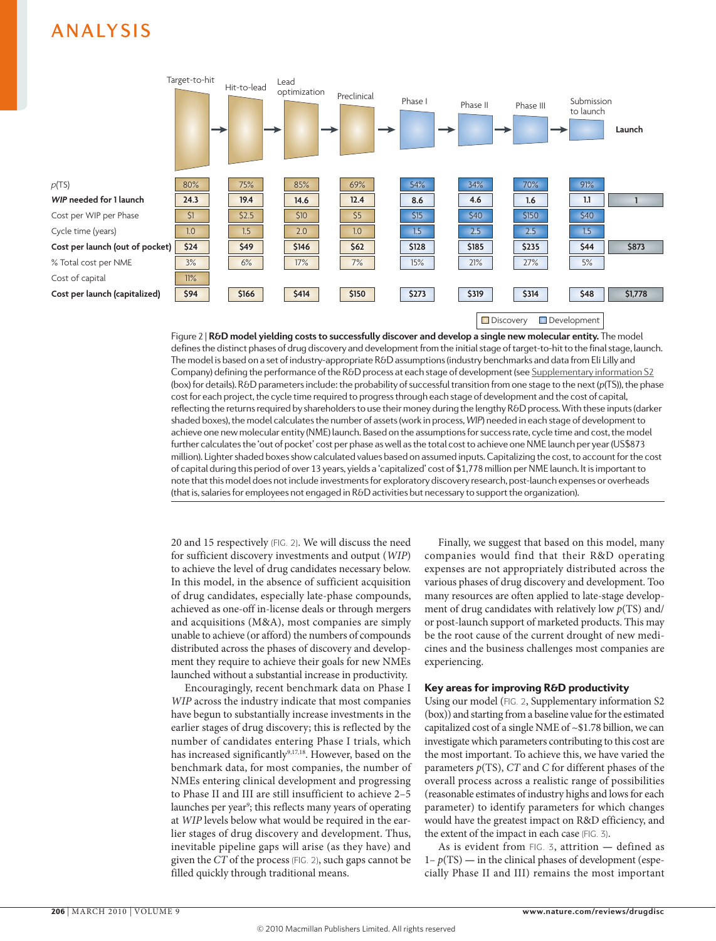

me moder's based on a set of mudstry-appropriate NOD assumptions (industry benchmarks and data nom Eit Elity and<br>Company) defining the performance of the R&D process at each stage of development (see <u>Supplementary informa</u> Figure 2 | R&D model yielding costs to successfully discover and develop a single new molecular entity. The model defines the distinct phases of drug discovery and development from the initial stage of target-to-hit to the final stage, launch. The model is based on a set of industry-appropriate R&D assumptions (industry benchmarks and data from Eli lilly and (box) for details). R&D parameters include: the probability of successful transition from one stage to the next (*p*(Ts)), the phase cost for each project, the cycle time required to progress through each stage of development and the cost of capital, reflecting the returns required by shareholders to use their money during the lengthy R&D process. With these inputs (darker shaded boxes), the model calculates the number of assets (work in process, *WIP*) needed in each stage of development to achieve one new molecular entity (NME) launch. Based on the assumptions for success rate, cycle time and cost, the model further calculates the 'out of pocket' cost per phase as well as the total cost to achieve one nME launch per year (Us\$873 million). lighter shaded boxes show calculated values based on assumed inputs. Capitalizing the cost, to account for the cost of capital during this period of over 13 years, yields a 'capitalized' cost of \$1,778 million per nME launch. It is important to note that this model does not include investments for exploratory discovery research, post-launch expenses or overheads (that is, salaries for employees not engaged in R&D activities but necessary to support the organization).

20 and 15 respectively (FIG. 2). we will discuss the need for sufficient discovery investments and output (*WIP*) to achieve the level of drug candidates necessary below. In this model, in the absence of sufficient acquisition of drug candidates, especially late-phase compounds, achieved as one-off in-license deals or through mergers and acquisitions (M&A), most companies are simply unable to achieve (or afford) the numbers of compounds distributed across the phases of discovery and development they require to achieve their goals for new NMEs launched without a substantial increase in productivity.

Encouragingly, recent benchmark data on Phase I *WIP* across the industry indicate that most companies have begun to substantially increase investments in the earlier stages of drug discovery; this is reflected by the number of candidates entering Phase I trials, which has increased significantly<sup>9,17,18</sup>. However, based on the benchmark data, for most companies, the number of NMEs entering clinical development and progressing to Phase II and III are still insufficient to achieve 2–5 launches per year<sup>9</sup>; this reflects many years of operating at *WIP* levels below what would be required in the earlier stages of drug discovery and development. Thus, inevitable pipeline gaps will arise (as they have) and given the *CT* of the process (FIG. 2), such gaps cannot be filled quickly through traditional means.

Finally, we suggest that based on this model, many companies would find that their R&D operating expenses are not appropriately distributed across the various phases of drug discovery and development. Too many resources are often applied to late-stage development of drug candidates with relatively low *p*(TS) and/ or post-launch support of marketed products. This may be the root cause of the current drought of new medicines and the business challenges most companies are experiencing.

## Key areas for improving R&D productivity

Using our model (FIG. 2, Supplementary information S2 (box)) and starting from a baseline value for the estimated capitalized cost of a single NME of ~\$1.78 billion, we can investigate which parameters contributing to this cost are the most important. To achieve this, we have varied the parameters *p*(TS), *CT* and *C* for different phases of the overall process across a realistic range of possibilities (reasonable estimates of industry highs and lows for each parameter) to identify parameters for which changes would have the greatest impact on R&D efficiency, and the extent of the impact in each case (FIG. 3).

As is evident from FIG. 3, attrition **—** defined as 1– *p*(TS) **—** in the clinical phases of development (especially Phase II and III) remains the most important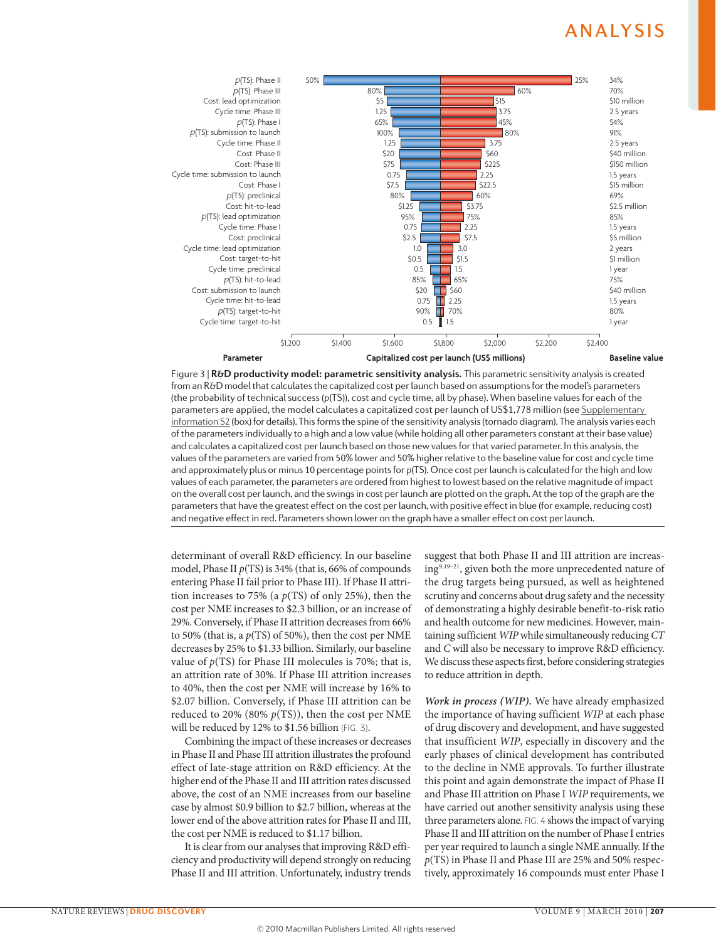

(the probability of technical success (p(TS)), cost and cycle time, all by phase). When baseline values for each of the Figure 3 | **r&D productivity model: parametric sensitivity analysis.** This parametric sensitivity analysis is created from an R&D model that calculates the capitalized cost per launch based on assumptions for the model's parameters parameters are applied, the model calculates a capitalized cost per launch of US\$1,778 million (see Supplementary information S2 (box) for details). This forms the spine of the sensitivity analysis (tornado diagram). The analysis varies each of the parameters individually to a high and a low value (while holding all other parameters constant at their base value) and calculates a capitalized cost per launch based on those new values for that varied parameter. In this analysis, the values of the parameters are varied from 50% lower and 50% higher relative to the baseline value for cost and cycle time and approximately plus or minus 10 percentage points for *p*(Ts). Once cost per launch is calculated for the high and low values of each parameter, the parameters are ordered from highest to lowest based on the relative magnitude of impact on the overall cost per launch, and the swings in cost per launch are plotted on the graph. At the top of the graph are the parameters that have the greatest effect on the cost per launch, with positive effect in blue (for example, reducing cost) and negative effect in red. Parameters shown lower on the graph have a smaller effect on cost per launch.

determinant of overall R&D efficiency. In our baseline model, Phase II *p*(TS) is 34% (that is, 66% of compounds entering Phase II fail prior to Phase III). If Phase II attrition increases to 75% (a *p*(TS) of only 25%), then the cost per NME increases to \$2.3 billion, or an increase of 29%. conversely, if Phase II attrition decreases from 66% to 50% (that is, a *p*(TS) of 50%), then the cost per NME decreases by 25% to \$1.33 billion. Similarly, our baseline value of *p*(TS) for Phase III molecules is 70%; that is, an attrition rate of 30%. If Phase III attrition increases to 40%, then the cost per NME will increase by 16% to \$2.07 billion. conversely, if Phase III attrition can be reduced to 20% (80% *p*(TS)), then the cost per NME will be reduced by 12% to \$1.56 billion (FIG. 3).

combining the impact of these increases or decreases in Phase II and Phase III attrition illustrates the profound effect of late-stage attrition on R&D efficiency. At the higher end of the Phase II and III attrition rates discussed above, the cost of an NME increases from our baseline case by almost \$0.9 billion to \$2.7 billion, whereas at the lower end of the above attrition rates for Phase II and III, the cost per NME is reduced to \$1.17 billion.

It is clear from our analyses that improving R&D efficiency and productivity will depend strongly on reducing Phase II and III attrition. Unfortunately, industry trends suggest that both Phase II and III attrition are increasing9,19–21, given both the more unprecedented nature of the drug targets being pursued, as well as heightened scrutiny and concerns about drug safety and the necessity of demonstrating a highly desirable benefit-to-risk ratio and health outcome for new medicines. However, maintaining sufficient *WIP* while simultaneously reducing *CT*  and *C* will also be necessary to improve R&D efficiency. we discuss these aspects first, before considering strategies to reduce attrition in depth.

*Work in process (WIP).* we have already emphasized the importance of having sufficient *WIP* at each phase of drug discovery and development, and have suggested that insufficient *WIP*, especially in discovery and the early phases of clinical development has contributed to the decline in NME approvals. To further illustrate this point and again demonstrate the impact of Phase II and Phase III attrition on Phase I *WIP* requirements, we have carried out another sensitivity analysis using these three parameters alone. FIG. 4 shows the impact of varying Phase II and III attrition on the number of Phase I entries per year required to launch a single NME annually. If the *p*(TS) in Phase II and Phase III are 25% and 50% respectively, approximately 16 compounds must enter Phase I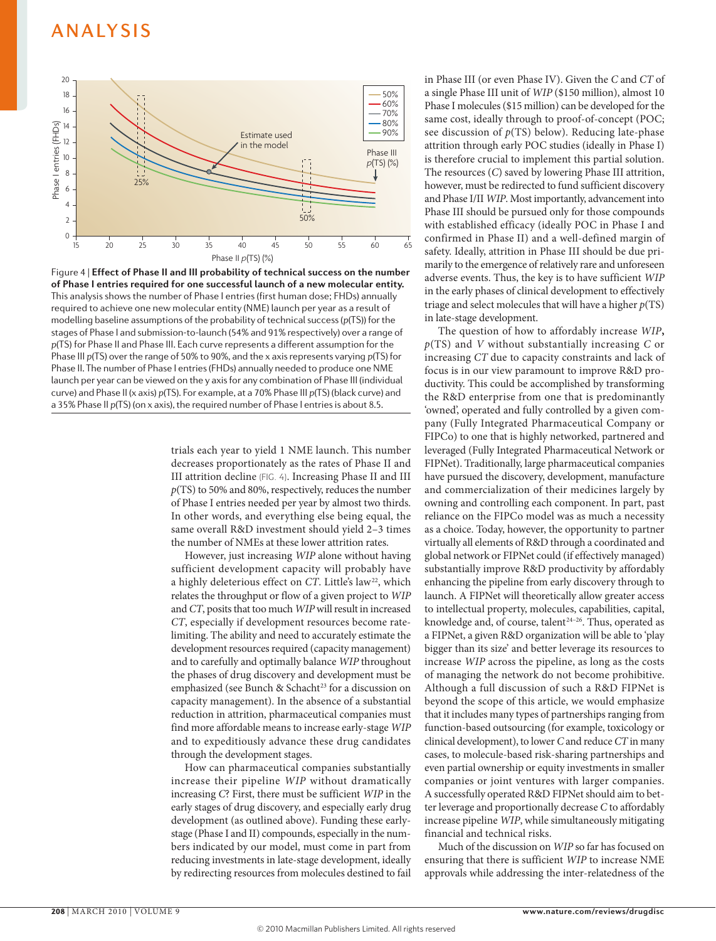

**Nature Reviews** | **Drug Discovery** This analysis shows the number of Phase I entries (first human dose; FHDs) annually Figure 4 | **effect of Phase ii and iii probability of technical success on the number of Phase i entries required for one successful launch of a new molecular entity.**  required to achieve one new molecular entity (NME) launch per year as a result of modelling baseline assumptions of the probability of technical success (*p*(Ts)) for the stages of Phase I and submission-to-launch (54% and 91% respectively) over a range of *p*(Ts) for Phase II and Phase III. Each curve represents a different assumption for the Phase III *p*(Ts) over the range of 50% to 90%, and the x axis represents varying *p*(Ts) for Phase II. The number of Phase I entries (FHDs) annually needed to produce one NME launch per year can be viewed on the y axis for any combination of Phase III (individual curve) and Phase II (x axis)  $p(TS)$ . For example, at a 70% Phase III  $p(TS)$  (black curve) and a 35% Phase II p(TS) (on x axis), the required number of Phase I entries is about 8.5.

trials each year to yield 1 NME launch. This number decreases proportionately as the rates of Phase II and III attrition decline (FIG. 4). Increasing Phase II and III *p*(TS) to 50% and 80%, respectively, reduces the number of Phase I entries needed per year by almost two thirds. In other words, and everything else being equal, the same overall R&D investment should yield 2–3 times the number of NMEs at these lower attrition rates.

however, just increasing *WIP* alone without having sufficient development capacity will probably have a highly deleterious effect on *CT*. Little's law<sup>22</sup>, which relates the throughput or flow of a given project to *WIP* and *CT*, posits that too much *WIP* will result in increased *CT*, especially if development resources become ratelimiting. The ability and need to accurately estimate the development resources required (capacity management) and to carefully and optimally balance *WIP* throughout the phases of drug discovery and development must be emphasized (see Bunch & Schacht<sup>23</sup> for a discussion on capacity management). In the absence of a substantial reduction in attrition, pharmaceutical companies must find more affordable means to increase early-stage *WIP* and to expeditiously advance these drug candidates through the development stages.

how can pharmaceutical companies substantially increase their pipeline *WIP* without dramatically increasing *C*? First, there must be sufficient *WIP* in the early stages of drug discovery, and especially early drug development (as outlined above). Funding these earlystage (Phase I and II) compounds, especially in the numbers indicated by our model, must come in part from reducing investments in late-stage development, ideally by redirecting resources from molecules destined to fail in Phase III (or even Phase Iv). Given the *C* and *CT* of a single Phase III unit of *WIP* (\$150 million), almost 10 Phase I molecules (\$15 million) can be developed for the same cost, ideally through to proof-of-concept (POc; see discussion of *p*(TS) below). Reducing late-phase attrition through early POc studies (ideally in Phase I) is therefore crucial to implement this partial solution. The resources (*C*) saved by lowering Phase III attrition, however, must be redirected to fund sufficient discovery and Phase I/II *WIP*. Most importantly, advancement into Phase III should be pursued only for those compounds with established efficacy (ideally POc in Phase I and confirmed in Phase II) and a well-defined margin of safety. Ideally, attrition in Phase III should be due primarily to the emergence of relatively rare and unforeseen adverse events. Thus, the key is to have sufficient *WIP* in the early phases of clinical development to effectively triage and select molecules that will have a higher *p*(TS) in late-stage development.

The question of how to affordably increase *WIP***,**  *p*(TS) and *V* without substantially increasing *C* or increasing *CT* due to capacity constraints and lack of focus is in our view paramount to improve R&D productivity. This could be accomplished by transforming the R&D enterprise from one that is predominantly 'owned', operated and fully controlled by a given company (Fully Integrated Pharmaceutical company or FIPco) to one that is highly networked, partnered and leveraged (Fully Integrated Pharmaceutical Network or FIPNet). Traditionally, large pharmaceutical companies have pursued the discovery, development, manufacture and commercialization of their medicines largely by owning and controlling each component. In part, past reliance on the FIPco model was as much a necessity as a choice. Today, however, the opportunity to partner virtually all elements of R&D through a coordinated and global network or FIPNet could (if effectively managed) substantially improve R&D productivity by affordably enhancing the pipeline from early discovery through to launch. A FIPNet will theoretically allow greater access to intellectual property, molecules, capabilities, capital, knowledge and, of course, talent<sup>24-26</sup>. Thus, operated as a FIPNet, a given R&D organization will be able to 'play bigger than its size' and better leverage its resources to increase *WIP* across the pipeline, as long as the costs of managing the network do not become prohibitive. Although a full discussion of such a R&D FIPNet is beyond the scope of this article, we would emphasize that it includes many types of partnerships ranging from function-based outsourcing (for example, toxicology or clinical development), to lower *C* and reduce *CT* in many cases, to molecule-based risk-sharing partnerships and even partial ownership or equity investments in smaller companies or joint ventures with larger companies. A successfully operated R&D FIPNet should aim to better leverage and proportionally decrease *C* to affordably increase pipeline *WIP*, while simultaneously mitigating financial and technical risks.

Much of the discussion on *WIP* so far has focused on ensuring that there is sufficient *WIP* to increase NME approvals while addressing the inter-relatedness of the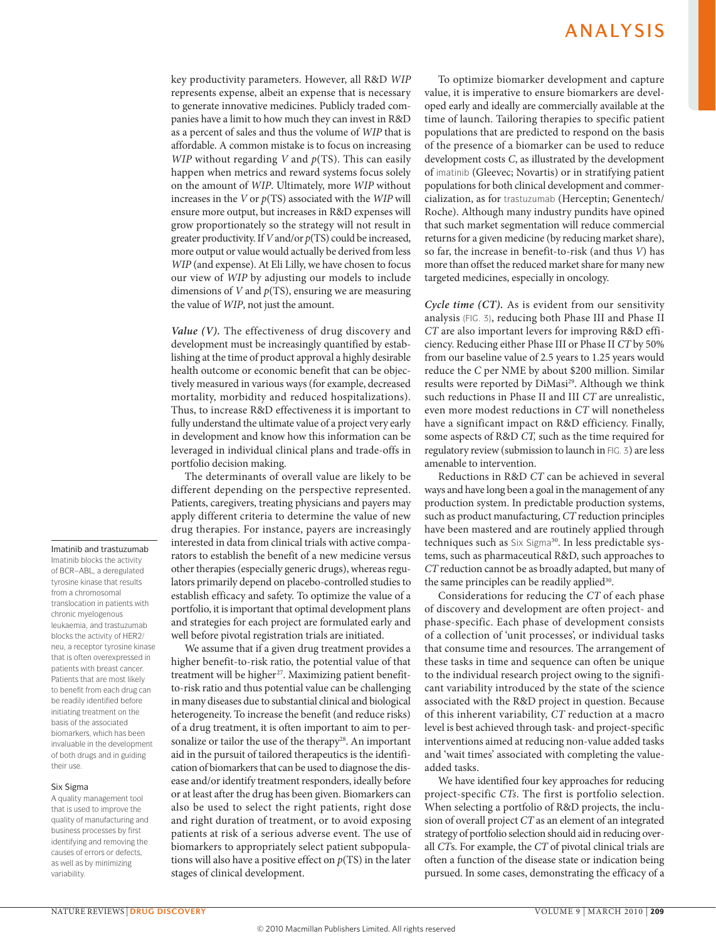key productivity parameters. however, all R&D *WIP* represents expense, albeit an expense that is necessary to generate innovative medicines. Publicly traded companies have a limit to how much they can invest in R&D as a percent of sales and thus the volume of *WIP* that is affordable. A common mistake is to focus on increasing *WIP* without regarding *V* and *p*(TS). This can easily happen when metrics and reward systems focus solely on the amount of *WIP*. Ultimately, more *WIP* without increases in the *V* or *p*(TS) associated with the *WIP* will ensure more output, but increases in R&D expenses will grow proportionately so the strategy will not result in greater productivity. If *V* and/or *p*(TS) could be increased, more output or value would actually be derived from less *WIP* (and expense). At Eli Lilly, we have chosen to focus our view of *WIP* by adjusting our models to include dimensions of *V* and *p*(TS), ensuring we are measuring the value of *WIP*, not just the amount.

*Value (V).* The effectiveness of drug discovery and development must be increasingly quantified by establishing at the time of product approval a highly desirable health outcome or economic benefit that can be objectively measured in various ways (for example, decreased mortality, morbidity and reduced hospitalizations). Thus, to increase R&D effectiveness it is important to fully understand the ultimate value of a project very early in development and know how this information can be leveraged in individual clinical plans and trade-offs in portfolio decision making.

The determinants of overall value are likely to be different depending on the perspective represented. Patients, caregivers, treating physicians and payers may apply different criteria to determine the value of new drug therapies. For instance, payers are increasingly interested in data from clinical trials with active comparators to establish the benefit of a new medicine versus other therapies (especially generic drugs), whereas regulators primarily depend on placebo-controlled studies to establish efficacy and safety. To optimize the value of a portfolio, it is important that optimal development plans and strategies for each project are formulated early and well before pivotal registration trials are initiated.

we assume that if a given drug treatment provides a higher benefit-to-risk ratio, the potential value of that treatment will be higher<sup>27</sup>. Maximizing patient benefitto-risk ratio and thus potential value can be challenging in many diseases due to substantial clinical and biological heterogeneity. To increase the benefit (and reduce risks) of a drug treatment, it is often important to aim to personalize or tailor the use of the therapy<sup>28</sup>. An important aid in the pursuit of tailored therapeutics is the identification of biomarkers that can be used to diagnose the disease and/or identify treatment responders, ideally before or at least after the drug has been given. Biomarkers can also be used to select the right patients, right dose and right duration of treatment, or to avoid exposing patients at risk of a serious adverse event. The use of biomarkers to appropriately select patient subpopulations will also have a positive effect on *p*(TS) in the later stages of clinical development.

To optimize biomarker development and capture value, it is imperative to ensure biomarkers are developed early and ideally are commercially available at the time of launch. Tailoring therapies to specific patient populations that are predicted to respond on the basis of the presence of a biomarker can be used to reduce development costs *C*, as illustrated by the development of imatinib (Gleevec; Novartis) or in stratifying patient populations for both clinical development and commercialization, as for trastuzumab (herceptin; Genentech/ Roche). Although many industry pundits have opined that such market segmentation will reduce commercial returns for a given medicine (by reducing market share), so far, the increase in benefit-to-risk (and thus *V*) has more than offset the reduced market share for many new targeted medicines, especially in oncology.

*Cycle time (CT).* As is evident from our sensitivity analysis (FIG. 3), reducing both Phase III and Phase II *CT* are also important levers for improving R&D efficiency. Reducing either Phase III or Phase II *CT* by 50% from our baseline value of 2.5 years to 1.25 years would reduce the *C* per NME by about \$200 million. Similar results were reported by DiMasi<sup>29</sup>. Although we think such reductions in Phase II and III *CT* are unrealistic, even more modest reductions in *CT* will nonetheless have a significant impact on R&D efficiency. Finally, some aspects of R&D *CT,* such as the time required for regulatory review (submission to launch in FIG. 3) are less amenable to intervention.

Reductions in R&D *CT* can be achieved in several ways and have long been a goal in the management of any production system. In predictable production systems, such as product manufacturing, *CT* reduction principles have been mastered and are routinely applied through techniques such as Six Sigma<sup>30</sup>. In less predictable systems, such as pharmaceutical R&D, such approaches to *CT* reduction cannot be as broadly adapted, but many of the same principles can be readily applied<sup>30</sup>.

considerations for reducing the *CT* of each phase of discovery and development are often project- and phase-specific. Each phase of development consists of a collection of 'unit processes', or individual tasks that consume time and resources. The arrangement of these tasks in time and sequence can often be unique to the individual research project owing to the significant variability introduced by the state of the science associated with the R&D project in question. Because of this inherent variability, *CT* reduction at a macro level is best achieved through task- and project-specific interventions aimed at reducing non-value added tasks and 'wait times' associated with completing the valueadded tasks.

we have identified four key approaches for reducing project-specific *CTs*. The first is portfolio selection. when selecting a portfolio of R&D projects, the inclusion of overall project *CT* as an element of an integrated strategy of portfolio selection should aid in reducing overall *CT*s. For example, the *CT* of pivotal clinical trials are often a function of the disease state or indication being pursued. In some cases, demonstrating the efficacy of a

## Imatinib and trastuzumab

Imatinib blocks the activity of BCR–ABL, a deregulated tyrosine kinase that results from a chromosomal translocation in patients with chronic myelogenous leukaemia, and trastuzumab blocks the activity of HER2/ neu, a receptor tyrosine kinase that is often overexpressed in patients with breast cancer. Patients that are most likely to benefit from each drug can be readily identified before initiating treatment on the basis of the associated biomarkers, which has been invaluable in the development of both drugs and in guiding their use.

#### Six Sigma

A quality management tool that is used to improve the quality of manufacturing and business processes by first identifying and removing the causes of errors or defects, as well as by minimizing variability.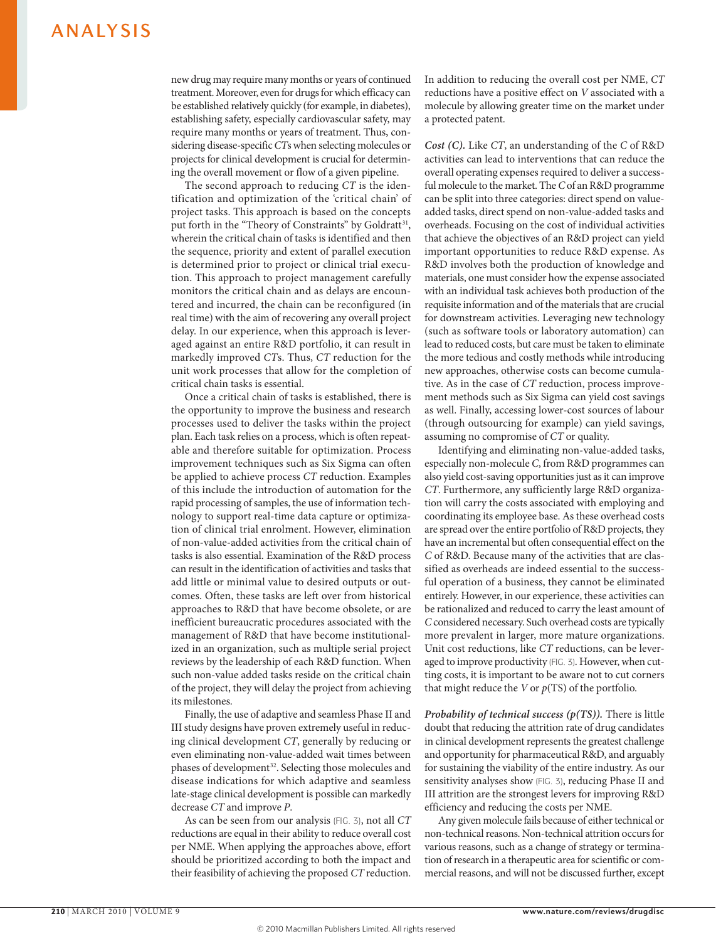new drug may require many months or years of continued treatment. Moreover, even for drugs for which efficacy can be established relatively quickly (for example, in diabetes), establishing safety, especially cardiovascular safety, may require many months or years of treatment. Thus, considering disease-specific *CT*s when selecting molecules or projects for clinical development is crucial for determining the overall movement or flow of a given pipeline.

The second approach to reducing *CT* is the identification and optimization of the 'critical chain' of project tasks. This approach is based on the concepts put forth in the "Theory of Constraints" by Goldratt<sup>31</sup>, wherein the critical chain of tasks is identified and then the sequence, priority and extent of parallel execution is determined prior to project or clinical trial execution. This approach to project management carefully monitors the critical chain and as delays are encountered and incurred, the chain can be reconfigured (in real time) with the aim of recovering any overall project delay. In our experience, when this approach is leveraged against an entire R&D portfolio, it can result in markedly improved *CT*s. Thus, *CT* reduction for the unit work processes that allow for the completion of critical chain tasks is essential.

Once a critical chain of tasks is established, there is the opportunity to improve the business and research processes used to deliver the tasks within the project plan. Each task relies on a process, which is often repeatable and therefore suitable for optimization. Process improvement techniques such as Six Sigma can often be applied to achieve process *CT* reduction. Examples of this include the introduction of automation for the rapid processing of samples, the use of information technology to support real-time data capture or optimization of clinical trial enrolment. however, elimination of non-value-added activities from the critical chain of tasks is also essential. Examination of the R&D process can result in the identification of activities and tasks that add little or minimal value to desired outputs or outcomes. Often, these tasks are left over from historical approaches to R&D that have become obsolete, or are inefficient bureaucratic procedures associated with the management of R&D that have become institutionalized in an organization, such as multiple serial project reviews by the leadership of each R&D function. when such non-value added tasks reside on the critical chain of the project, they will delay the project from achieving its milestones.

Finally, the use of adaptive and seamless Phase II and III study designs have proven extremely useful in reducing clinical development *CT*, generally by reducing or even eliminating non-value-added wait times between phases of development<sup>32</sup>. Selecting those molecules and disease indications for which adaptive and seamless late-stage clinical development is possible can markedly decrease *CT* and improve *P*.

As can be seen from our analysis (FIG. 3), not all *CT* reductions are equal in their ability to reduce overall cost per NME. when applying the approaches above, effort should be prioritized according to both the impact and their feasibility of achieving the proposed *CT* reduction.

In addition to reducing the overall cost per NME, *CT* reductions have a positive effect on *V* associated with a molecule by allowing greater time on the market under a protected patent.

*Cost (C).* like *CT*, an understanding of the *C* of R&D activities can lead to interventions that can reduce the overall operating expenses required to deliver a successful molecule to the market. The *C* of an R&D programme can be split into three categories: direct spend on valueadded tasks, direct spend on non-value-added tasks and overheads. Focusing on the cost of individual activities that achieve the objectives of an R&D project can yield important opportunities to reduce R&D expense. As R&D involves both the production of knowledge and materials, one must consider how the expense associated with an individual task achieves both production of the requisite information and of the materials that are crucial for downstream activities. leveraging new technology (such as software tools or laboratory automation) can lead to reduced costs, but care must be taken to eliminate the more tedious and costly methods while introducing new approaches, otherwise costs can become cumulative. As in the case of *CT* reduction, process improvement methods such as Six Sigma can yield cost savings as well. Finally, accessing lower-cost sources of labour (through outsourcing for example) can yield savings, assuming no compromise of *CT* or quality.

Identifying and eliminating non-value-added tasks, especially non-molecule *C*, from R&D programmes can also yield cost-saving opportunities just as it can improve *CT*. Furthermore, any sufficiently large R&D organization will carry the costs associated with employing and coordinating its employee base. As these overhead costs are spread over the entire portfolio of R&D projects, they have an incremental but often consequential effect on the *C* of R&D. Because many of the activities that are classified as overheads are indeed essential to the successful operation of a business, they cannot be eliminated entirely. however, in our experience, these activities can be rationalized and reduced to carry the least amount of *C* considered necessary. Such overhead costs are typically more prevalent in larger, more mature organizations. Unit cost reductions, like *CT* reductions, can be leveraged to improve productivity (FIG. 3). However, when cutting costs, it is important to be aware not to cut corners that might reduce the *V* or *p*(TS) of the portfolio.

*Probability of technical success (p(TS)).* There is little doubt that reducing the attrition rate of drug candidates in clinical development represents the greatest challenge and opportunity for pharmaceutical R&D, and arguably for sustaining the viability of the entire industry. As our sensitivity analyses show (FIG. 3), reducing Phase II and III attrition are the strongest levers for improving R&D efficiency and reducing the costs per NME.

Any given molecule fails because of either technical or non-technical reasons. Non-technical attrition occurs for various reasons, such as a change of strategy or termination of research in a therapeutic area for scientific or commercial reasons, and will not be discussed further, except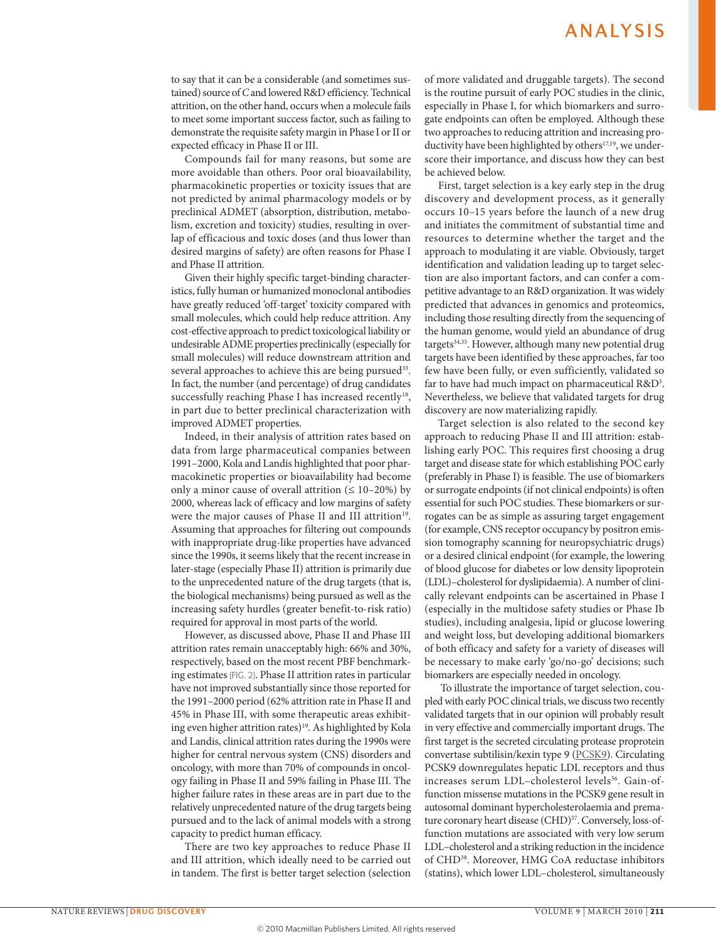to say that it can be a considerable (and sometimes sustained) source of *C* and lowered R&D efficiency. Technical attrition, on the other hand, occurs when a molecule fails to meet some important success factor, such as failing to demonstrate the requisite safety margin in Phase I or II or expected efficacy in Phase II or III.

compounds fail for many reasons, but some are more avoidable than others. Poor oral bioavailability, pharmacokinetic properties or toxicity issues that are not predicted by animal pharmacology models or by preclinical ADMET (absorption, distribution, metabolism, excretion and toxicity) studies, resulting in overlap of efficacious and toxic doses (and thus lower than desired margins of safety) are often reasons for Phase I and Phase II attrition.

Given their highly specific target-binding characteristics, fully human or humanized monoclonal antibodies have greatly reduced 'off-target' toxicity compared with small molecules, which could help reduce attrition. Any cost-effective approach to predict toxicological liability or undesirable ADME properties preclinically (especially for small molecules) will reduce downstream attrition and several approaches to achieve this are being pursued<sup>33</sup>. In fact, the number (and percentage) of drug candidates successfully reaching Phase I has increased recently<sup>18</sup>, in part due to better preclinical characterization with improved ADMET properties.

Indeed, in their analysis of attrition rates based on data from large pharmaceutical companies between 1991–2000, Kola and landis highlighted that poor pharmacokinetic properties or bioavailability had become only a minor cause of overall attrition ( $\leq 10-20\%$ ) by 2000, whereas lack of efficacy and low margins of safety were the major causes of Phase II and III attrition<sup>19</sup>. Assuming that approaches for filtering out compounds with inappropriate drug-like properties have advanced since the 1990s, it seems likely that the recent increase in later-stage (especially Phase II) attrition is primarily due to the unprecedented nature of the drug targets (that is, the biological mechanisms) being pursued as well as the increasing safety hurdles (greater benefit-to-risk ratio) required for approval in most parts of the world.

however, as discussed above, Phase II and Phase III attrition rates remain unacceptably high: 66% and 30%, respectively, based on the most recent PBF benchmarking estimates (FIG. 2). Phase II attrition rates in particular have not improved substantially since those reported for the 1991–2000 period (62% attrition rate in Phase II and 45% in Phase III, with some therapeutic areas exhibiting even higher attrition rates)<sup>19</sup>. As highlighted by Kola and landis, clinical attrition rates during the 1990s were higher for central nervous system (CNS) disorders and oncology, with more than 70% of compounds in oncology failing in Phase II and 59% failing in Phase III. The higher failure rates in these areas are in part due to the relatively unprecedented nature of the drug targets being pursued and to the lack of animal models with a strong capacity to predict human efficacy.

There are two key approaches to reduce Phase II and III attrition, which ideally need to be carried out in tandem. The first is better target selection (selection of more validated and druggable targets). The second is the routine pursuit of early POc studies in the clinic, especially in Phase I, for which biomarkers and surrogate endpoints can often be employed. Although these two approaches to reducing attrition and increasing productivity have been highlighted by others<sup>17,19</sup>, we underscore their importance, and discuss how they can best be achieved below.

First, target selection is a key early step in the drug discovery and development process, as it generally occurs 10–15 years before the launch of a new drug and initiates the commitment of substantial time and resources to determine whether the target and the approach to modulating it are viable. Obviously, target identification and validation leading up to target selection are also important factors, and can confer a competitive advantage to an R&D organization. It was widely predicted that advances in genomics and proteomics, including those resulting directly from the sequencing of the human genome, would yield an abundance of drug targets<sup>34,35</sup>. However, although many new potential drug targets have been identified by these approaches, far too few have been fully, or even sufficiently, validated so far to have had much impact on pharmaceutical R&D<sup>3</sup>. Nevertheless, we believe that validated targets for drug discovery are now materializing rapidly.

Target selection is also related to the second key approach to reducing Phase II and III attrition: establishing early POc. This requires first choosing a drug target and disease state for which establishing POc early (preferably in Phase I) is feasible. The use of biomarkers or surrogate endpoints (if not clinical endpoints) is often essential for such POc studies. These biomarkers or surrogates can be as simple as assuring target engagement (for example, cNS receptor occupancy by positron emission tomography scanning for neuropsychiatric drugs) or a desired clinical endpoint (for example, the lowering of blood glucose for diabetes or low density lipoprotein (lDl)–cholesterol for dyslipidaemia). A number of clinically relevant endpoints can be ascertained in Phase I (especially in the multidose safety studies or Phase Ib studies), including analgesia, lipid or glucose lowering and weight loss, but developing additional biomarkers of both efficacy and safety for a variety of diseases will be necessary to make early 'go/no-go' decisions; such biomarkers are especially needed in oncology.

 To illustrate the importance of target selection, coupled with early POc clinical trials, we discuss two recently validated targets that in our opinion will probably result in very effective and commercially important drugs. The first target is the secreted circulating protease proprotein convertase subtilisin/kexin type 9 (PCSK9). Circulating PcSK9 downregulates hepatic lDl receptors and thus increases serum LDL-cholesterol levels<sup>36</sup>. Gain-offunction missense mutations in the PcSK9 gene result in autosomal dominant hypercholesterolaemia and premature coronary heart disease (CHD)<sup>37</sup>. Conversely, loss-offunction mutations are associated with very low serum lDl–cholesterol and a striking reduction in the incidence of CHD<sup>38</sup>. Moreover, HMG CoA reductase inhibitors (statins), which lower lDl–cholesterol, simultaneously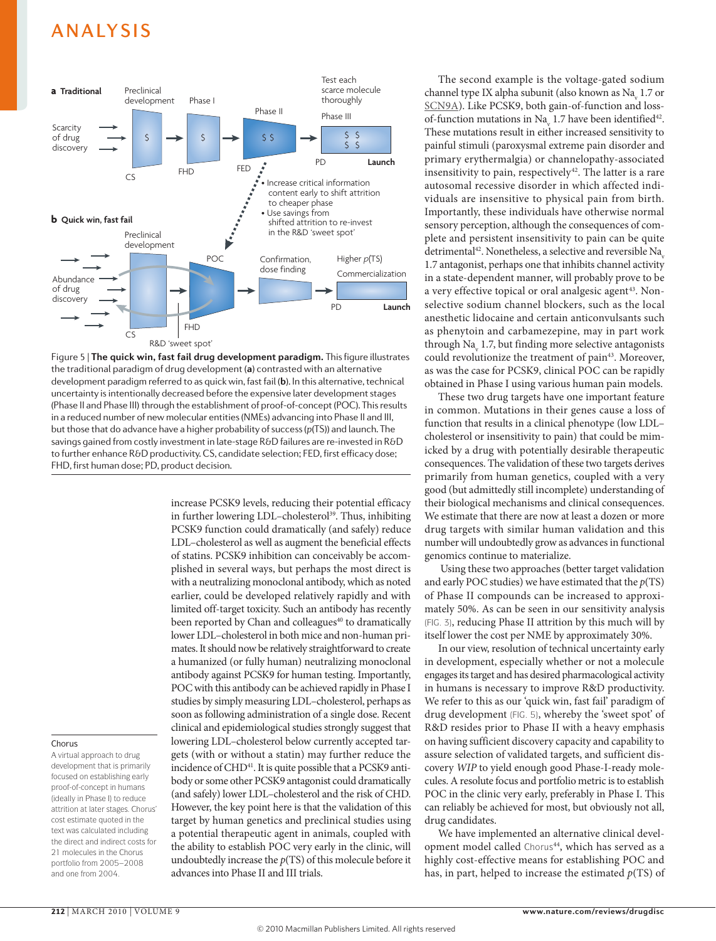

development paradigm referred to as quick win, fast fail (b). In this alternative, technical Figure 5 | **The quick win, fast fail drug development paradigm.** This figure illustrates the traditional paradigm of drug development (**a**) contrasted with an alternative uncertainty is intentionally decreased before the expensive later development stages (Phase II and Phase III) through the establishment of proof-of-concept (POC). This results in a reduced number of new molecular entities (NMEs) advancing into Phase II and III, but those that do advance have a higher probability of success (*p*(Ts)) and launch. The savings gained from costly investment in late-stage R&D failures are re-invested in R&D to further enhance R&D productivity. CS, candidate selection; FED, first efficacy dose; FHD, first human dose; PD, product decision.

increase PcSK9 levels, reducing their potential efficacy in further lowering LDL-cholesterol<sup>39</sup>. Thus, inhibiting PcSK9 function could dramatically (and safely) reduce lDl–cholesterol as well as augment the beneficial effects of statins. PcSK9 inhibition can conceivably be accomplished in several ways, but perhaps the most direct is with a neutralizing monoclonal antibody, which as noted earlier, could be developed relatively rapidly and with limited off-target toxicity. Such an antibody has recently been reported by Chan and colleagues<sup>40</sup> to dramatically lower lDl–cholesterol in both mice and non-human primates. It should now be relatively straightforward to create a humanized (or fully human) neutralizing monoclonal antibody against PcSK9 for human testing. Importantly, POc with this antibody can be achieved rapidly in Phase I studies by simply measuring lDl–cholesterol, perhaps as soon as following administration of a single dose. Recent clinical and epidemiological studies strongly suggest that lowering lDl–cholesterol below currently accepted targets (with or without a statin) may further reduce the incidence of CHD<sup>41</sup>. It is quite possible that a PCSK9 antibody or some other PcSK9 antagonist could dramatically (and safely) lower LDL-cholesterol and the risk of CHD. However, the key point here is that the validation of this target by human genetics and preclinical studies using a potential therapeutic agent in animals, coupled with the ability to establish POc very early in the clinic, will undoubtedly increase the *p*(TS) of this molecule before it advances into Phase II and III trials.

## Chorus

A virtual approach to drug development that is primarily focused on establishing early proof-of-concept in humans (ideally in Phase I) to reduce attrition at later stages. Chorus' cost estimate quoted in the text was calculated including the direct and indirect costs for 21 molecules in the Chorus portfolio from 2005–2008 and one from 2004.

The second example is the voltage-gated sodium channel type IX alpha subunit (also known as  $\text{Na}_{\text{v}}$  1.7 or SCN9A). Like PCSK9, both gain-of-function and lossof-function mutations in Na<sub>v</sub> 1.7 have been identified<sup>42</sup>. These mutations result in either increased sensitivity to painful stimuli (paroxysmal extreme pain disorder and primary erythermalgia) or channelopathy-associated insensitivity to pain, respectively<sup>42</sup>. The latter is a rare autosomal recessive disorder in which affected individuals are insensitive to physical pain from birth. Importantly, these individuals have otherwise normal sensory perception, although the consequences of complete and persistent insensitivity to pain can be quite detrimental<sup>42</sup>. Nonetheless, a selective and reversible Na 1.7 antagonist, perhaps one that inhibits channel activity in a state-dependent manner, will probably prove to be a very effective topical or oral analgesic agent<sup>43</sup>. Nonselective sodium channel blockers, such as the local anesthetic lidocaine and certain anticonvulsants such as phenytoin and carbamezepine, may in part work through  $\text{Na}_{\text{v}}$  1.7, but finding more selective antagonists could revolutionize the treatment of pain<sup>43</sup>. Moreover, as was the case for PcSK9, clinical POc can be rapidly obtained in Phase I using various human pain models.

These two drug targets have one important feature in common. Mutations in their genes cause a loss of function that results in a clinical phenotype (low LDL– cholesterol or insensitivity to pain) that could be mimicked by a drug with potentially desirable therapeutic consequences. The validation of these two targets derives primarily from human genetics, coupled with a very good (but admittedly still incomplete) understanding of their biological mechanisms and clinical consequences. we estimate that there are now at least a dozen or more drug targets with similar human validation and this number will undoubtedly grow as advances in functional genomics continue to materialize.

 Using these two approaches (better target validation and early POc studies) we have estimated that the *p*(TS) of Phase II compounds can be increased to approximately 50%. As can be seen in our sensitivity analysis (FIG. 3), reducing Phase II attrition by this much will by itself lower the cost per NME by approximately 30%.

In our view, resolution of technical uncertainty early in development, especially whether or not a molecule engages its target and has desired pharmacological activity in humans is necessary to improve R&D productivity. we refer to this as our 'quick win, fast fail' paradigm of drug development (FIG. 5), whereby the 'sweet spot' of R&D resides prior to Phase II with a heavy emphasis on having sufficient discovery capacity and capability to assure selection of validated targets, and sufficient discovery *WIP* to yield enough good Phase-I-ready molecules. A resolute focus and portfolio metric is to establish POc in the clinic very early, preferably in Phase I. This can reliably be achieved for most, but obviously not all, drug candidates.

we have implemented an alternative clinical development model called Chorus<sup>44</sup>, which has served as a highly cost-effective means for establishing POc and has, in part, helped to increase the estimated *p*(TS) of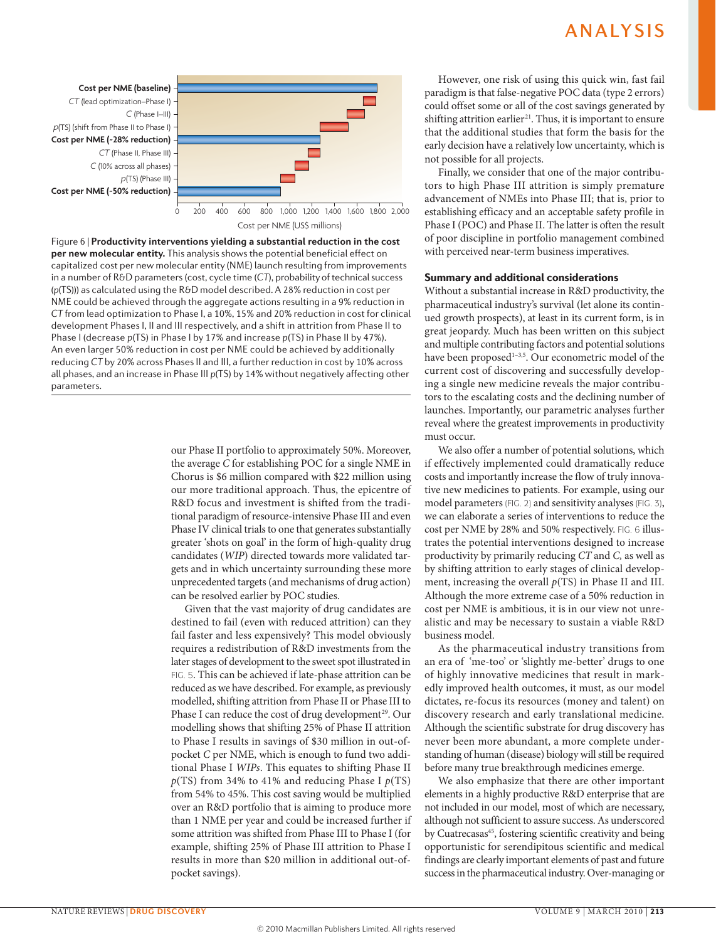

**per new molecular entity.** This analysis shows the potential beneficial effect on Figure 6 | **Productivity interventions yielding a substantial reduction in the cost**  capitalized cost per new molecular entity (nME) launch resulting from improvements in a number of R&D parameters (cost, cycle time (*CT*), probability of technical success (*p*(Ts))) as calculated using the R&D model described. A 28% reduction in cost per nME could be achieved through the aggregate actions resulting in a 9% reduction in *CT* from lead optimization to Phase I, a 10%, 15% and 20% reduction in cost for clinical development Phases I, II and III respectively, and a shift in attrition from Phase II to Phase I (decrease  $p(TS)$  in Phase I by 17% and increase  $p(TS)$  in Phase II by 47%). An even larger 50% reduction in cost per nME could be achieved by additionally reducing *CT* by 20% across Phases II and III, a further reduction in cost by 10% across all phases, and an increase in Phase III *p*(Ts) by 14% without negatively affecting other parameters.

> our Phase II portfolio to approximately 50%. Moreover, the average *C* for establishing POc for a single NME in chorus is \$6 million compared with \$22 million using our more traditional approach. Thus, the epicentre of R&D focus and investment is shifted from the traditional paradigm of resource-intensive Phase III and even Phase IV clinical trials to one that generates substantially greater 'shots on goal' in the form of high-quality drug candidates (*WIP*) directed towards more validated targets and in which uncertainty surrounding these more unprecedented targets (and mechanisms of drug action) can be resolved earlier by POc studies.

> Given that the vast majority of drug candidates are destined to fail (even with reduced attrition) can they fail faster and less expensively? This model obviously requires a redistribution of R&D investments from the later stages of development to the sweet spot illustrated in FIG. 5. This can be achieved if late-phase attrition can be reduced as we have described. For example, as previously modelled, shifting attrition from Phase II or Phase III to Phase I can reduce the cost of drug development<sup>29</sup>. Our modelling shows that shifting 25% of Phase II attrition to Phase I results in savings of \$30 million in out-ofpocket *C* per NME, which is enough to fund two additional Phase I *WIPs*. This equates to shifting Phase II *p*(TS) from 34% to 41% and reducing Phase I *p*(TS) from 54% to 45%. This cost saving would be multiplied over an R&D portfolio that is aiming to produce more than 1 NME per year and could be increased further if some attrition was shifted from Phase III to Phase I (for example, shifting 25% of Phase III attrition to Phase I results in more than \$20 million in additional out-ofpocket savings).

however, one risk of using this quick win, fast fail paradigm is that false-negative POc data (type 2 errors) could offset some or all of the cost savings generated by shifting attrition earlier<sup>21</sup>. Thus, it is important to ensure that the additional studies that form the basis for the early decision have a relatively low uncertainty, which is not possible for all projects.

Finally, we consider that one of the major contributors to high Phase III attrition is simply premature advancement of NMEs into Phase III; that is, prior to establishing efficacy and an acceptable safety profile in Phase I (POc) and Phase II. The latter is often the result of poor discipline in portfolio management combined with perceived near-term business imperatives.

### Summary and additional considerations

without a substantial increase in R&D productivity, the pharmaceutical industry's survival (let alone its continued growth prospects), at least in its current form, is in great jeopardy. Much has been written on this subject and multiple contributing factors and potential solutions have been proposed<sup>1-3,5</sup>. Our econometric model of the current cost of discovering and successfully developing a single new medicine reveals the major contributors to the escalating costs and the declining number of launches. Importantly, our parametric analyses further reveal where the greatest improvements in productivity must occur.

we also offer a number of potential solutions, which if effectively implemented could dramatically reduce costs and importantly increase the flow of truly innovative new medicines to patients. For example, using our model parameters (FIG. 2) and sensitivity analyses (FIG. 3), we can elaborate a series of interventions to reduce the cost per NME by 28% and 50% respectively. FIG. 6 illustrates the potential interventions designed to increase productivity by primarily reducing *CT* and *C,* as well as by shifting attrition to early stages of clinical development, increasing the overall *p*(TS) in Phase II and III. Although the more extreme case of a 50% reduction in cost per NME is ambitious, it is in our view not unrealistic and may be necessary to sustain a viable R&D business model.

As the pharmaceutical industry transitions from an era of 'me-too' or 'slightly me-better' drugs to one of highly innovative medicines that result in markedly improved health outcomes, it must, as our model dictates, re-focus its resources (money and talent) on discovery research and early translational medicine. Although the scientific substrate for drug discovery has never been more abundant, a more complete understanding of human (disease) biology will still be required before many true breakthrough medicines emerge.

we also emphasize that there are other important elements in a highly productive R&D enterprise that are not included in our model, most of which are necessary, although not sufficient to assure success. As underscored by Cuatrecasas<sup>45</sup>, fostering scientific creativity and being opportunistic for serendipitous scientific and medical findings are clearly important elements of past and future success in the pharmaceutical industry. Over-managing or